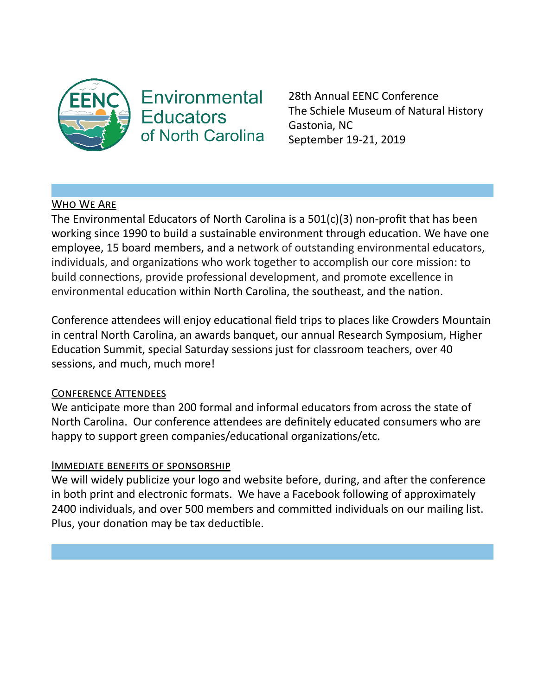

# **Environmental Educators** of North Carolina

28th Annual EENC Conference The Schiele Museum of Natural History Gastonia, NC September 19-21, 2019

# WHO WE ARE

The Environmental Educators of North Carolina is a 501(c)(3) non-profit that has been working since 1990 to build a sustainable environment through education. We have one employee, 15 board members, and a network of outstanding environmental educators, individuals, and organizations who work together to accomplish our core mission: to build connections, provide professional development, and promote excellence in environmental education within North Carolina, the southeast, and the nation.

Conference attendees will enjoy educational field trips to places like Crowders Mountain in central North Carolina, an awards banquet, our annual Research Symposium, Higher Education Summit, special Saturday sessions just for classroom teachers, over 40 sessions, and much, much more!

# **CONFERENCE ATTENDEES**

We anticipate more than 200 formal and informal educators from across the state of North Carolina. Our conference attendees are definitely educated consumers who are happy to support green companies/educational organizations/etc.

# **IMMEDIATE BENEFITS OF SPONSORSHIP**

We will widely publicize your logo and website before, during, and after the conference in both print and electronic formats. We have a Facebook following of approximately 2400 individuals, and over 500 members and committed individuals on our mailing list. Plus, your donation may be tax deductible.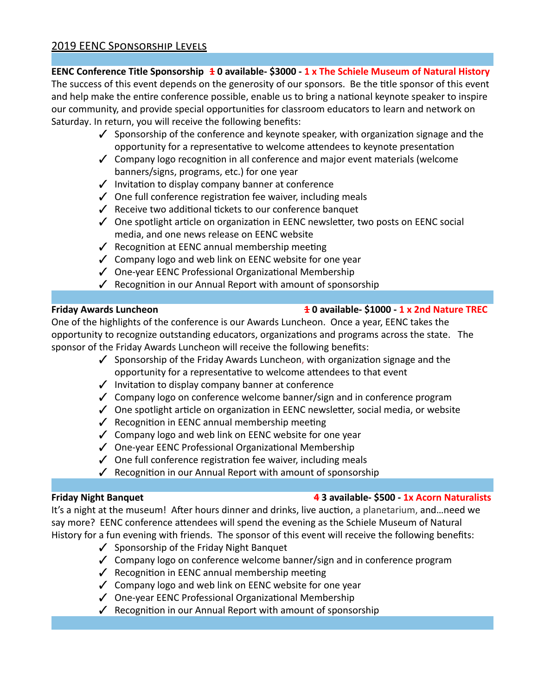# **EENC Conference Title Sponsorship 10 available- \$3000 - 1 x The Schiele Museum of Natural History**

The success of this event depends on the generosity of our sponsors. Be the title sponsor of this event and help make the entire conference possible, enable us to bring a national keynote speaker to inspire our community, and provide special opportunities for classroom educators to learn and network on Saturday. In return, you will receive the following benefits:

- $\checkmark$  Sponsorship of the conference and keynote speaker, with organization signage and the opportunity for a representative to welcome attendees to keynote presentation
- $\checkmark$  Company logo recognition in all conference and major event materials (welcome banners/signs, programs, etc.) for one year
- $\checkmark$  Invitation to display company banner at conference
- $\checkmark$  One full conference registration fee waiver, including meals
- $\sqrt{\phantom{a}}$  Receive two additional tickets to our conference banquet
- $\checkmark$  One spotlight article on organization in EENC newsletter, two posts on EENC social media, and one news release on EENC website
- $\checkmark$  Recognition at EENC annual membership meeting
- ✓ Company logo and web link on EENC website for one year
- √ One-year EENC Professional Organizational Membership
- $\checkmark$  Recognition in our Annual Report with amount of sponsorship

# **Friday Awards Luncheon 10 available- \$1000 - 1 x 2nd Nature TREC**

One of the highlights of the conference is our Awards Luncheon. Once a year, EENC takes the opportunity to recognize outstanding educators, organizations and programs across the state. The sponsor of the Friday Awards Luncheon will receive the following benefits:

- $\checkmark$  Sponsorship of the Friday Awards Luncheon, with organization signage and the opportunity for a representative to welcome attendees to that event
- $\checkmark$  Invitation to display company banner at conference
- $\checkmark$  Company logo on conference welcome banner/sign and in conference program
- $\checkmark$  One spotlight article on organization in EENC newsletter, social media, or website
- $\checkmark$  Recognition in EENC annual membership meeting
- ✓ Company logo and web link on EENC website for one year
- $\checkmark$  One-year EENC Professional Organizational Membership
- $\checkmark$  One full conference registration fee waiver, including meals
- $\checkmark$  Recognition in our Annual Report with amount of sponsorship

# **Friday Night Banquet 43 available- \$500 - 1x Acorn Naturalists**

It's a night at the museum! After hours dinner and drinks, live auction, a planetarium, and...need we say more? EENC conference attendees will spend the evening as the Schiele Museum of Natural History for a fun evening with friends. The sponsor of this event will receive the following benefits:

- ✓ Sponsorship of the Friday Night Banquet
- ✓ Company logo on conference welcome banner/sign and in conference program
- $\sqrt{\phantom{a}}$  Recognition in EENC annual membership meeting
- $\checkmark$  Company logo and web link on EENC website for one year
- $\checkmark$  One-year EENC Professional Organizational Membership
- $\sqrt{\phantom{a}}$  Recognition in our Annual Report with amount of sponsorship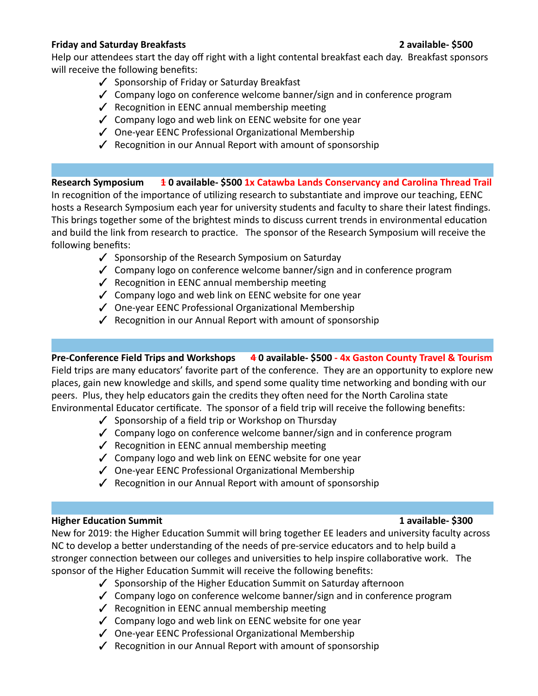### **Friday and Saturday Breakfasts 2 available- \$500**

Help our attendees start the day off right with a light contental breakfast each day. Breakfast sponsors will receive the following benefits:

- ✓ Sponsorship of Friday or Saturday Breakfast
- ✓ Company logo on conference welcome banner/sign and in conference program
- $\checkmark$  Recognition in EENC annual membership meeting
- $\checkmark$  Company logo and web link on EENC website for one year
- $\checkmark$  One-year EENC Professional Organizational Membership
- $\checkmark$  Recognition in our Annual Report with amount of sponsorship

Research Symposium **1** 0 available- \$500 1x Catawba Lands Conservancy and Carolina Thread Trail In recognition of the importance of utilizing research to substantiate and improve our teaching, EENC hosts a Research Symposium each year for university students and faculty to share their latest findings. This brings together some of the brightest minds to discuss current trends in environmental education and build the link from research to practice. The sponsor of the Research Symposium will receive the following benefits:

- ✓ Sponsorship of the Research Symposium on Saturday
- ✓ Company logo on conference welcome banner/sign and in conference program
- $\checkmark$  Recognition in EENC annual membership meeting
- $\checkmark$  Company logo and web link on EENC website for one year
- √ One-year EENC Professional Organizational Membership
- $\checkmark$  Recognition in our Annual Report with amount of sponsorship

# **Pre-Conference Field Trips and Workshops 40 available- \$500- 4x Gaston County Travel & Tourism**

Field trips are many educators' favorite part of the conference. They are an opportunity to explore new places, gain new knowledge and skills, and spend some quality time networking and bonding with our peers. Plus, they help educators gain the credits they often need for the North Carolina state Environmental Educator certificate. The sponsor of a field trip will receive the following benefits:

- ✓ Sponsorship of a field trip or Workshop on Thursday
- $\checkmark$  Company logo on conference welcome banner/sign and in conference program
- $\checkmark$  Recognition in EENC annual membership meeting
- $\checkmark$  Company logo and web link on EENC website for one year
- √ One-year EENC Professional Organizational Membership
- $\checkmark$  Recognition in our Annual Report with amount of sponsorship

# **Higher Education Summit 1 available- \$300**

New for 2019: the Higher Education Summit will bring together EE leaders and university faculty across NC to develop a better understanding of the needs of pre-service educators and to help build a stronger connection between our colleges and universities to help inspire collaborative work. The sponsor of the Higher Education Summit will receive the following benefits:

- $\checkmark$  Sponsorship of the Higher Education Summit on Saturday afternoon
- $\checkmark$  Company logo on conference welcome banner/sign and in conference program
- $\checkmark$  Recognition in EENC annual membership meeting
- $\checkmark$  Company logo and web link on EENC website for one year
- √ One-year EENC Professional Organizational Membership
- $\sqrt{\phantom{a}}$  Recognition in our Annual Report with amount of sponsorship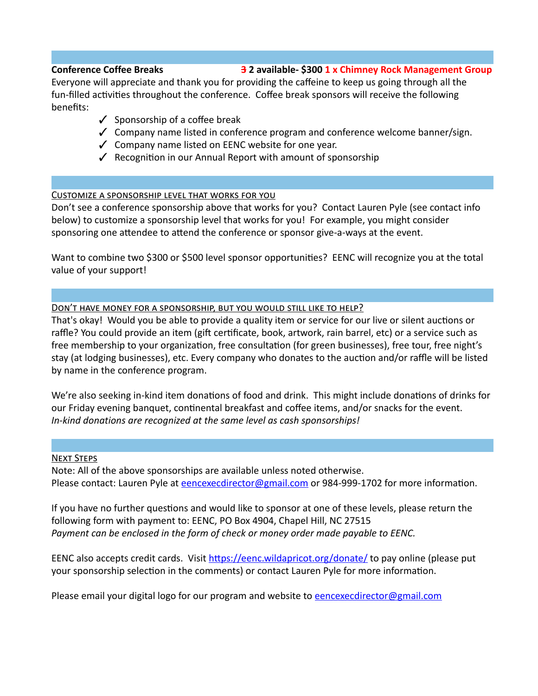### **Conference Coffee Breaks 32 available- \$300 1 x Chimney Rock Management Group**

Everyone will appreciate and thank you for providing the caffeine to keep us going through all the fun-filled activities throughout the conference. Coffee break sponsors will receive the following benefits:

- $\checkmark$  Sponsorship of a coffee break
- $\checkmark$  Company name listed in conference program and conference welcome banner/sign.
- ✓ Company name listed on EENC website for one year.
- $\sqrt{\phantom{a}}$  Recognition in our Annual Report with amount of sponsorship

### CUSTOMIZE A SPONSORSHIP LEVEL THAT WORKS FOR YOU

Don't see a conference sponsorship above that works for you? Contact Lauren Pyle (see contact info below) to customize a sponsorship level that works for you! For example, you might consider sponsoring one attendee to attend the conference or sponsor give-a-ways at the event.

Want to combine two \$300 or \$500 level sponsor opportunities? EENC will recognize you at the total value of your support!

### DON'T HAVE MONEY FOR A SPONSORSHIP, BUT YOU WOULD STILL LIKE TO HELP?

That's okay! Would you be able to provide a quality item or service for our live or silent auctions or raffle? You could provide an item (gift certificate, book, artwork, rain barrel, etc) or a service such as free membership to your organization, free consultation (for green businesses), free tour, free night's stay (at lodging businesses), etc. Every company who donates to the auction and/or raffle will be listed by name in the conference program.

We're also seeking in-kind item donations of food and drink. This might include donations of drinks for our Friday evening banquet, continental breakfast and coffee items, and/or snacks for the event. *In-kind donations are recognized at the same level as cash sponsorships!*

### **NEXT STEPS**

Note: All of the above sponsorships are available unless noted otherwise. Please contact: Lauren Pyle at encexecdirector@gmail.com or 984-999-1702 for more information.

If you have no further questions and would like to sponsor at one of these levels, please return the following form with payment to: EENC, PO Box 4904, Chapel Hill, NC 27515 *Payment can be enclosed in the form of check or money order made payable to EENC.*

EENC also accepts credit cards. Visit https://eenc.wildapricot.org/donate/ to pay online (please put your sponsorship selection in the comments) or contact Lauren Pyle for more information.

Please email your digital logo for our program and website to [eencexecdirector@gmail.com](mailto:eencexecdirector@gmail.com)